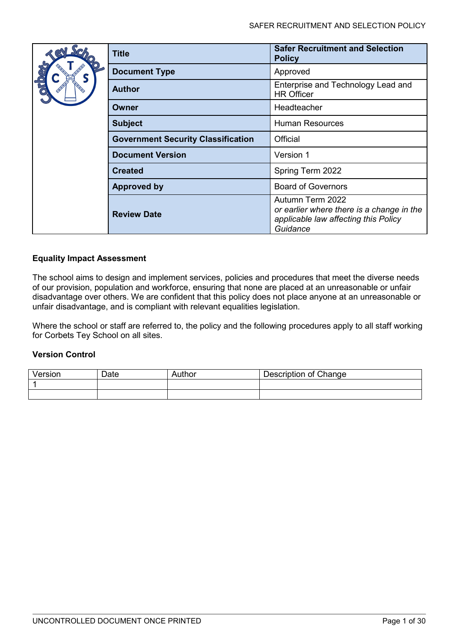| <b>Title</b>                              | <b>Safer Recruitment and Selection</b><br><b>Policy</b>                                                           |
|-------------------------------------------|-------------------------------------------------------------------------------------------------------------------|
| <b>Document Type</b>                      | Approved                                                                                                          |
| <b>Author</b>                             | Enterprise and Technology Lead and<br><b>HR Officer</b>                                                           |
| <b>Owner</b>                              | Headteacher                                                                                                       |
| <b>Subject</b>                            | <b>Human Resources</b>                                                                                            |
| <b>Government Security Classification</b> | Official                                                                                                          |
| <b>Document Version</b>                   | Version 1                                                                                                         |
| <b>Created</b>                            | Spring Term 2022                                                                                                  |
| <b>Approved by</b>                        | <b>Board of Governors</b>                                                                                         |
| <b>Review Date</b>                        | Autumn Term 2022<br>or earlier where there is a change in the<br>applicable law affecting this Policy<br>Guidance |

#### **Equality Impact Assessment**

The school aims to design and implement services, policies and procedures that meet the diverse needs of our provision, population and workforce, ensuring that none are placed at an unreasonable or unfair disadvantage over others. We are confident that this policy does not place anyone at an unreasonable or unfair disadvantage, and is compliant with relevant equalities legislation.

Where the school or staff are referred to, the policy and the following procedures apply to all staff working for Corbets Tey School on all sites.

#### **Version Control**

| Version | Date | Author | Description of Change |
|---------|------|--------|-----------------------|
|         |      |        |                       |
|         |      |        |                       |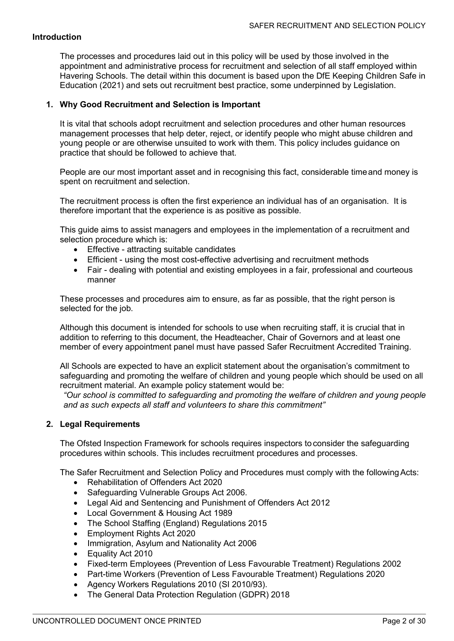#### **Introduction**

The processes and procedures laid out in this policy will be used by those involved in the appointment and administrative process for recruitment and selection of all staff employed within Havering Schools. The detail within this document is based upon the DfE Keeping Children Safe in Education (2021) and sets out recruitment best practice, some underpinned by Legislation.

#### **1. Why Good Recruitment and Selection is Important**

It is vital that schools adopt recruitment and selection procedures and other human resources management processes that help deter, reject, or identify people who might abuse children and young people or are otherwise unsuited to work with them. This policy includes guidance on practice that should be followed to achieve that.

People are our most important asset and in recognising this fact, considerable timeand money is spent on recruitment and selection.

The recruitment process is often the first experience an individual has of an organisation. It is therefore important that the experience is as positive as possible.

This guide aims to assist managers and employees in the implementation of a recruitment and selection procedure which is:

- Effective attracting suitable candidates
- Efficient using the most cost-effective advertising and recruitment methods
- Fair dealing with potential and existing employees in a fair, professional and courteous manner

These processes and procedures aim to ensure, as far as possible, that the right person is selected for the job.

Although this document is intended for schools to use when recruiting staff, it is crucial that in addition to referring to this document, the Headteacher, Chair of Governors and at least one member of every appointment panel must have passed Safer Recruitment Accredited Training.

All Schools are expected to have an explicit statement about the organisation's commitment to safeguarding and promoting the welfare of children and young people which should be used on all recruitment material. An example policy statement would be:

*"Our school is committed to safeguarding and promoting the welfare of children and young people and as such expects all staff and volunteers to share this commitment"*

#### **2. Legal Requirements**

The Ofsted Inspection Framework for schools requires inspectors to consider the safeguarding procedures within schools. This includes recruitment procedures and processes.

The Safer Recruitment and Selection Policy and Procedures must comply with the followingActs:

- Rehabilitation of Offenders Act 2020
- Safeguarding Vulnerable Groups Act 2006.
- Legal Aid and Sentencing and Punishment of Offenders Act 2012
- Local Government & Housing Act 1989
- The School Staffing (England) Regulations 2015
- Employment Rights Act 2020
- Immigration, Asylum and Nationality Act 2006
- Equality Act 2010
- Fixed-term Employees (Prevention of Less Favourable Treatment) Regulations 2002
- Part-time Workers (Prevention of Less Favourable Treatment) Regulations 2020
- Agency Workers Regulations 2010 (SI 2010/93).
- The General Data Protection Regulation (GDPR) 2018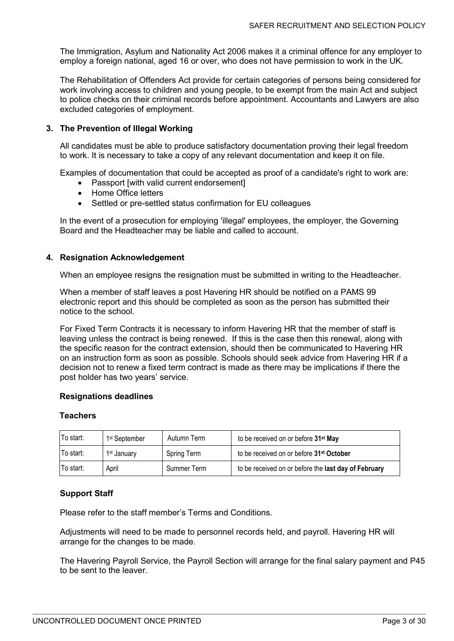The Immigration, Asylum and Nationality Act 2006 makes it a criminal offence for any employer to employ a foreign national, aged 16 or over, who does not have permission to work in the UK.

The Rehabilitation of Offenders Act provide for certain categories of persons being considered for work involving access to children and young people, to be exempt from the main Act and subject to police checks on their criminal records before appointment. Accountants and Lawyers are also excluded categories of employment.

#### **3. The Prevention of Illegal Working**

All candidates must be able to produce satisfactory documentation proving their legal freedom to work. It is necessary to take a copy of any relevant documentation and keep it on file.

Examples of documentation that could be accepted as proof of a candidate's right to work are:

- Passport [with valid current endorsement]
- Home Office letters
- Settled or pre-settled status confirmation for EU colleagues

In the event of a prosecution for employing 'illegal' employees, the employer, the Governing Board and the Headteacher may be liable and called to account.

#### **4. Resignation Acknowledgement**

When an employee resigns the resignation must be submitted in writing to the Headteacher.

When a member of staff leaves a post Havering HR should be notified on a PAMS 99 electronic report and this should be completed as soon as the person has submitted their notice to the school.

For Fixed Term Contracts it is necessary to inform Havering HR that the member of staff is leaving unless the contract is being renewed. If this is the case then this renewal, along with the specific reason for the contract extension, should then be communicated to Havering HR on an instruction form as soon as possible. Schools should seek advice from Havering HR if a decision not to renew a fixed term contract is made as there may be implications if there the post holder has two years' service.

#### **Resignations deadlines**

#### **Teachers**

| To start: | 1 <sup>st</sup> September | Autumn Term | to be received on or before 31 <sup>st</sup> May     |
|-----------|---------------------------|-------------|------------------------------------------------------|
| To start: | 1 <sup>st</sup> Januarv   | Spring Term | to be received on or before 31 <sup>st</sup> October |
| To start: | April                     | Summer Term | to be received on or before the last day of February |

#### **Support Staff**

Please refer to the staff member's Terms and Conditions.

Adjustments will need to be made to personnel records held, and payroll. Havering HR will arrange for the changes to be made.

The Havering Payroll Service, the Payroll Section will arrange for the final salary payment and P45 to be sent to the leaver.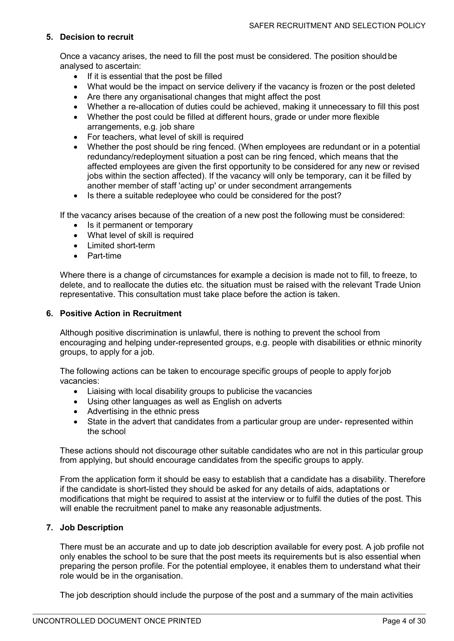#### **5. Decision to recruit**

Once a vacancy arises, the need to fill the post must be considered. The position should be analysed to ascertain:

- If it is essential that the post be filled
- What would be the impact on service delivery if the vacancy is frozen or the post deleted
- Are there any organisational changes that might affect the post
- Whether a re-allocation of duties could be achieved, making it unnecessary to fill this post
- Whether the post could be filled at different hours, grade or under more flexible arrangements, e.g. job share
- For teachers, what level of skill is required
- Whether the post should be ring fenced. (When employees are redundant or in a potential redundancy/redeployment situation a post can be ring fenced, which means that the affected employees are given the first opportunity to be considered for any new or revised jobs within the section affected). If the vacancy will only be temporary, can it be filled by another member of staff 'acting up' or under secondment arrangements
- Is there a suitable redeployee who could be considered for the post?

If the vacancy arises because of the creation of a new post the following must be considered:

- Is it permanent or temporary
- What level of skill is required
- Limited short-term
- Part-time

Where there is a change of circumstances for example a decision is made not to fill, to freeze, to delete, and to reallocate the duties etc. the situation must be raised with the relevant Trade Union representative. This consultation must take place before the action is taken.

#### **6. Positive Action in Recruitment**

Although positive discrimination is unlawful, there is nothing to prevent the school from encouraging and helping under-represented groups, e.g. people with disabilities or ethnic minority groups, to apply for a job.

The following actions can be taken to encourage specific groups of people to apply forjob vacancies:

- Liaising with local disability groups to publicise the vacancies
- Using other languages as well as English on adverts
- Advertising in the ethnic press
- State in the advert that candidates from a particular group are under- represented within the school

These actions should not discourage other suitable candidates who are not in this particular group from applying, but should encourage candidates from the specific groups to apply.

From the application form it should be easy to establish that a candidate has a disability. Therefore if the candidate is short-listed they should be asked for any details of aids, adaptations or modifications that might be required to assist at the interview or to fulfil the duties of the post. This will enable the recruitment panel to make any reasonable adjustments.

## **7. Job Description**

There must be an accurate and up to date job description available for every post. A job profile not only enables the school to be sure that the post meets its requirements but is also essential when preparing the person profile. For the potential employee, it enables them to understand what their role would be in the organisation.

The job description should include the purpose of the post and a summary of the main activities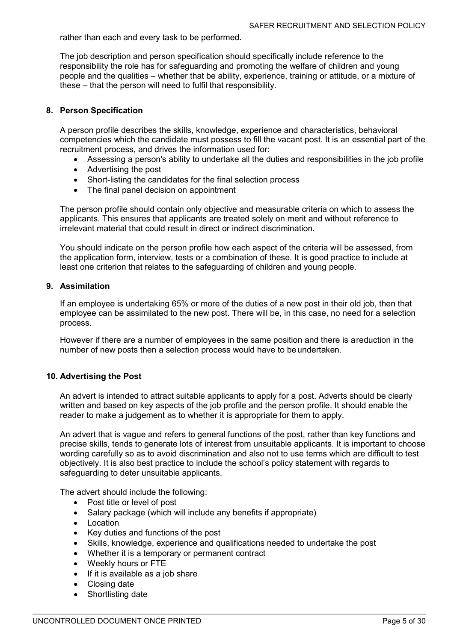rather than each and every task to be performed.

The job description and person specification should specifically include reference to the responsibility the role has for safeguarding and promoting the welfare of children and young people and the qualities – whether that be ability, experience, training or attitude, or a mixture of these – that the person will need to fulfil that responsibility.

#### **8. Person Specification**

A person profile describes the skills, knowledge, experience and characteristics, behavioral competencies which the candidate must possess to fill the vacant post. It is an essential part of the recruitment process, and drives the information used for:

- Assessing a person's ability to undertake all the duties and responsibilities in the job profile
- Advertising the post
- Short-listing the candidates for the final selection process
- The final panel decision on appointment

The person profile should contain only objective and measurable criteria on which to assess the applicants. This ensures that applicants are treated solely on merit and without reference to irrelevant material that could result in direct or indirect discrimination.

You should indicate on the person profile how each aspect of the criteria will be assessed, from the application form, interview, tests or a combination of these. It is good practice to include at least one criterion that relates to the safeguarding of children and young people.

#### **9. Assimilation**

If an employee is undertaking 65% or more of the duties of a new post in their old job, then that employee can be assimilated to the new post. There will be, in this case, no need for a selection process.

However if there are a number of employees in the same position and there is areduction in the number of new posts then a selection process would have to be undertaken.

### **10. Advertising the Post**

An advert is intended to attract suitable applicants to apply for a post. Adverts should be clearly written and based on key aspects of the job profile and the person profile. It should enable the reader to make a judgement as to whether it is appropriate for them to apply.

An advert that is vague and refers to general functions of the post, rather than key functions and precise skills, tends to generate lots of interest from unsuitable applicants. It is important to choose wording carefully so as to avoid discrimination and also not to use terms which are difficult to test objectively. It is also best practice to include the school's policy statement with regards to safeguarding to deter unsuitable applicants.

The advert should include the following:

- Post title or level of post
- Salary package (which will include any benefits if appropriate)
- Location
- Key duties and functions of the post
- Skills, knowledge, experience and qualifications needed to undertake the post
- Whether it is a temporary or permanent contract
- Weekly hours or FTE
- If it is available as a job share
- Closing date
- Shortlisting date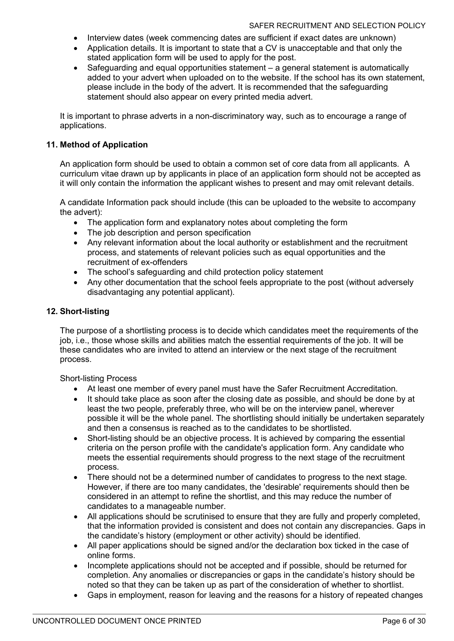- Interview dates (week commencing dates are sufficient if exact dates are unknown)
- Application details. It is important to state that a CV is unacceptable and that only the stated application form will be used to apply for the post.
- Safeguarding and equal opportunities statement a general statement is automatically added to your advert when uploaded on to the website. If the school has its own statement, please include in the body of the advert. It is recommended that the safeguarding statement should also appear on every printed media advert.

It is important to phrase adverts in a non-discriminatory way, such as to encourage a range of applications.

## **11. Method of Application**

An application form should be used to obtain a common set of core data from all applicants. A curriculum vitae drawn up by applicants in place of an application form should not be accepted as it will only contain the information the applicant wishes to present and may omit relevant details.

A candidate Information pack should include (this can be uploaded to the website to accompany the advert):

- The application form and explanatory notes about completing the form
- The job description and person specification
- Any relevant information about the local authority or establishment and the recruitment process, and statements of relevant policies such as equal opportunities and the recruitment of ex-offenders
- The school's safeguarding and child protection policy statement
- Any other documentation that the school feels appropriate to the post (without adversely disadvantaging any potential applicant).

## **12. Short-listing**

The purpose of a shortlisting process is to decide which candidates meet the requirements of the job, i.e., those whose skills and abilities match the essential requirements of the job. It will be these candidates who are invited to attend an interview or the next stage of the recruitment process.

Short-listing Process

- At least one member of every panel must have the Safer Recruitment Accreditation.
- It should take place as soon after the closing date as possible, and should be done by at least the two people, preferably three, who will be on the interview panel, wherever possible it will be the whole panel. The shortlisting should initially be undertaken separately and then a consensus is reached as to the candidates to be shortlisted.
- Short-listing should be an objective process. It is achieved by comparing the essential criteria on the person profile with the candidate's application form. Any candidate who meets the essential requirements should progress to the next stage of the recruitment process.
- There should not be a determined number of candidates to progress to the next stage. However, if there are too many candidates, the 'desirable' requirements should then be considered in an attempt to refine the shortlist, and this may reduce the number of candidates to a manageable number.
- All applications should be scrutinised to ensure that they are fully and properly completed, that the information provided is consistent and does not contain any discrepancies. Gaps in the candidate's history (employment or other activity) should be identified.
- All paper applications should be signed and/or the declaration box ticked in the case of online forms.
- Incomplete applications should not be accepted and if possible, should be returned for completion. Any anomalies or discrepancies or gaps in the candidate's history should be noted so that they can be taken up as part of the consideration of whether to shortlist.
- Gaps in employment, reason for leaving and the reasons for a history of repeated changes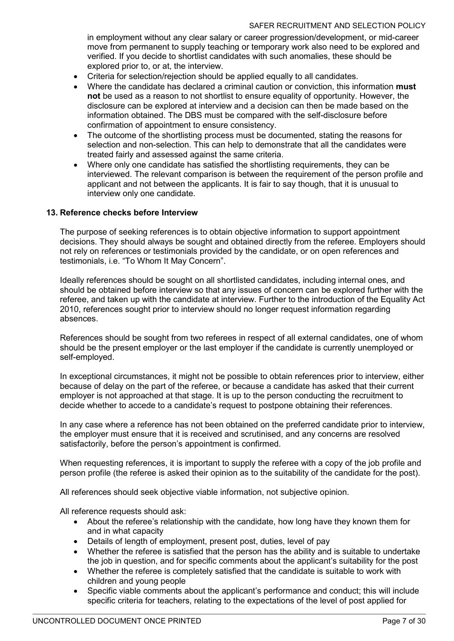in employment without any clear salary or career progression/development, or mid-career move from permanent to supply teaching or temporary work also need to be explored and verified. If you decide to shortlist candidates with such anomalies, these should be explored prior to, or at, the interview.

- Criteria for selection/rejection should be applied equally to all candidates.
- Where the candidate has declared a criminal caution or conviction, this information **must not** be used as a reason to not shortlist to ensure equality of opportunity. However, the disclosure can be explored at interview and a decision can then be made based on the information obtained. The DBS must be compared with the self-disclosure before confirmation of appointment to ensure consistency.
- The outcome of the shortlisting process must be documented, stating the reasons for selection and non-selection. This can help to demonstrate that all the candidates were treated fairly and assessed against the same criteria.
- Where only one candidate has satisfied the shortlisting requirements, they can be interviewed. The relevant comparison is between the requirement of the person profile and applicant and not between the applicants. It is fair to say though, that it is unusual to interview only one candidate.

#### **13. Reference checks before Interview**

The purpose of seeking references is to obtain objective information to support appointment decisions. They should always be sought and obtained directly from the referee. Employers should not rely on references or testimonials provided by the candidate, or on open references and testimonials, i.e. "To Whom It May Concern".

Ideally references should be sought on all shortlisted candidates, including internal ones, and should be obtained before interview so that any issues of concern can be explored further with the referee, and taken up with the candidate at interview. Further to the introduction of the Equality Act 2010, references sought prior to interview should no longer request information regarding absences.

References should be sought from two referees in respect of all external candidates, one of whom should be the present employer or the last employer if the candidate is currently unemployed or self-employed.

In exceptional circumstances, it might not be possible to obtain references prior to interview, either because of delay on the part of the referee, or because a candidate has asked that their current employer is not approached at that stage. It is up to the person conducting the recruitment to decide whether to accede to a candidate's request to postpone obtaining their references.

In any case where a reference has not been obtained on the preferred candidate prior to interview, the employer must ensure that it is received and scrutinised, and any concerns are resolved satisfactorily, before the person's appointment is confirmed.

When requesting references, it is important to supply the referee with a copy of the job profile and person profile (the referee is asked their opinion as to the suitability of the candidate for the post).

All references should seek objective viable information, not subjective opinion.

All reference requests should ask:

- About the referee's relationship with the candidate, how long have they known them for and in what capacity
- Details of length of employment, present post, duties, level of pay
- Whether the referee is satisfied that the person has the ability and is suitable to undertake the job in question, and for specific comments about the applicant's suitability for the post
- Whether the referee is completely satisfied that the candidate is suitable to work with children and young people
- Specific viable comments about the applicant's performance and conduct; this will include specific criteria for teachers, relating to the expectations of the level of post applied for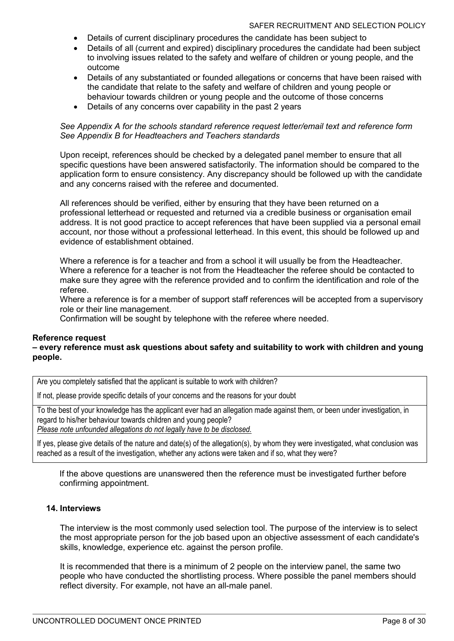- Details of current disciplinary procedures the candidate has been subject to
- Details of all (current and expired) disciplinary procedures the candidate had been subject to involving issues related to the safety and welfare of children or young people, and the outcome
- Details of any substantiated or founded allegations or concerns that have been raised with the candidate that relate to the safety and welfare of children and young people or behaviour towards children or young people and the outcome of those concerns
- Details of any concerns over capability in the past 2 years

#### *See Appendix A for the schools standard reference request letter/email text and reference form See Appendix B for Headteachers and Teachers standards*

Upon receipt, references should be checked by a delegated panel member to ensure that all specific questions have been answered satisfactorily. The information should be compared to the application form to ensure consistency. Any discrepancy should be followed up with the candidate and any concerns raised with the referee and documented.

All references should be verified, either by ensuring that they have been returned on a professional letterhead or requested and returned via a credible business or organisation email address. It is not good practice to accept references that have been supplied via a personal email account, nor those without a professional letterhead. In this event, this should be followed up and evidence of establishment obtained.

Where a reference is for a teacher and from a school it will usually be from the Headteacher. Where a reference for a teacher is not from the Headteacher the referee should be contacted to make sure they agree with the reference provided and to confirm the identification and role of the referee.

Where a reference is for a member of support staff references will be accepted from a supervisory role or their line management.

Confirmation will be sought by telephone with the referee where needed.

#### **Reference request**

### **– every reference must ask questions about safety and suitability to work with children and young people.**

Are you completely satisfied that the applicant is suitable to work with children?

If not, please provide specific details of your concerns and the reasons for your doubt

To the best of your knowledge has the applicant ever had an allegation made against them, or been under investigation, in regard to his/her behaviour towards children and young people? *Please note unfounded allegations do not legally have to be disclosed.*

If yes, please give details of the nature and date(s) of the allegation(s), by whom they were investigated, what conclusion was reached as a result of the investigation, whether any actions were taken and if so, what they were?

If the above questions are unanswered then the reference must be investigated further before

confirming appointment.

#### **14. Interviews**

The interview is the most commonly used selection tool. The purpose of the interview is to select the most appropriate person for the job based upon an objective assessment of each candidate's skills, knowledge, experience etc. against the person profile.

It is recommended that there is a minimum of 2 people on the interview panel, the same two people who have conducted the shortlisting process. Where possible the panel members should reflect diversity. For example, not have an all-male panel.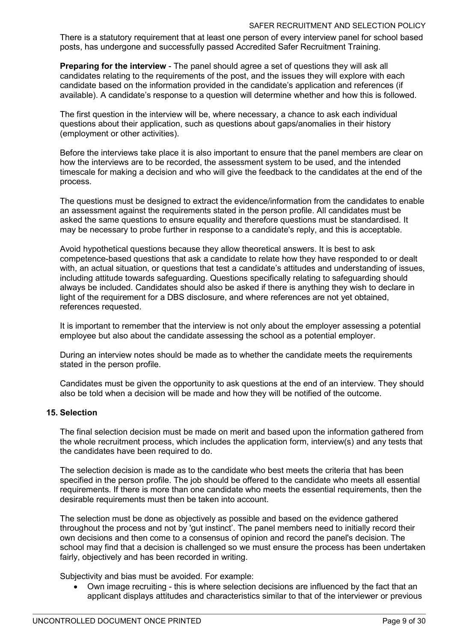#### SAFER RECRUITMENT AND SELECTION POLICY

There is a statutory requirement that at least one person of every interview panel for school based posts, has undergone and successfully passed Accredited Safer Recruitment Training.

**Preparing for the interview** - The panel should agree a set of questions they will ask all candidates relating to the requirements of the post, and the issues they will explore with each candidate based on the information provided in the candidate's application and references (if available). A candidate's response to a question will determine whether and how this is followed.

The first question in the interview will be, where necessary, a chance to ask each individual questions about their application, such as questions about gaps/anomalies in their history (employment or other activities).

Before the interviews take place it is also important to ensure that the panel members are clear on how the interviews are to be recorded, the assessment system to be used, and the intended timescale for making a decision and who will give the feedback to the candidates at the end of the process.

The questions must be designed to extract the evidence/information from the candidates to enable an assessment against the requirements stated in the person profile. All candidates must be asked the same questions to ensure equality and therefore questions must be standardised. It may be necessary to probe further in response to a candidate's reply, and this is acceptable.

Avoid hypothetical questions because they allow theoretical answers. It is best to ask competence-based questions that ask a candidate to relate how they have responded to or dealt with, an actual situation, or questions that test a candidate's attitudes and understanding of issues, including attitude towards safeguarding. Questions specifically relating to safeguarding should always be included. Candidates should also be asked if there is anything they wish to declare in light of the requirement for a DBS disclosure, and where references are not yet obtained, references requested.

It is important to remember that the interview is not only about the employer assessing a potential employee but also about the candidate assessing the school as a potential employer.

During an interview notes should be made as to whether the candidate meets the requirements stated in the person profile.

Candidates must be given the opportunity to ask questions at the end of an interview. They should also be told when a decision will be made and how they will be notified of the outcome.

### **15. Selection**

The final selection decision must be made on merit and based upon the information gathered from the whole recruitment process, which includes the application form, interview(s) and any tests that the candidates have been required to do.

The selection decision is made as to the candidate who best meets the criteria that has been specified in the person profile. The job should be offered to the candidate who meets all essential requirements. If there is more than one candidate who meets the essential requirements, then the desirable requirements must then be taken into account.

The selection must be done as objectively as possible and based on the evidence gathered throughout the process and not by 'gut instinct'. The panel members need to initially record their own decisions and then come to a consensus of opinion and record the panel's decision. The school may find that a decision is challenged so we must ensure the process has been undertaken fairly, objectively and has been recorded in writing.

Subjectivity and bias must be avoided. For example:

• Own image recruiting - this is where selection decisions are influenced by the fact that an applicant displays attitudes and characteristics similar to that of the interviewer or previous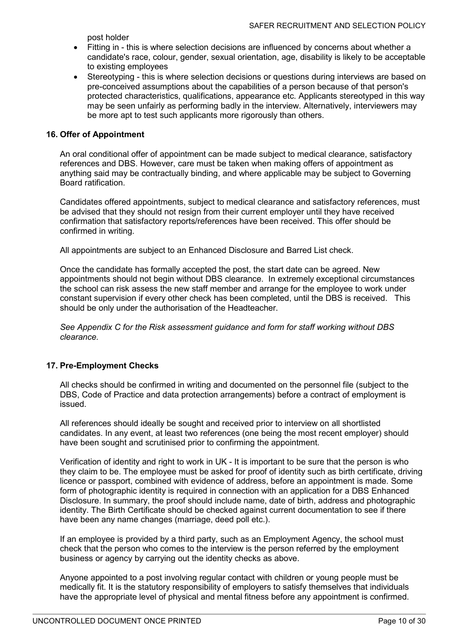post holder

- Fitting in this is where selection decisions are influenced by concerns about whether a candidate's race, colour, gender, sexual orientation, age, disability is likely to be acceptable to existing employees
- Stereotyping this is where selection decisions or questions during interviews are based on pre-conceived assumptions about the capabilities of a person because of that person's protected characteristics, qualifications, appearance etc. Applicants stereotyped in this way may be seen unfairly as performing badly in the interview. Alternatively, interviewers may be more apt to test such applicants more rigorously than others.

### **16. Offer of Appointment**

An oral conditional offer of appointment can be made subject to medical clearance, satisfactory references and DBS. However, care must be taken when making offers of appointment as anything said may be contractually binding, and where applicable may be subject to Governing Board ratification.

Candidates offered appointments, subject to medical clearance and satisfactory references, must be advised that they should not resign from their current employer until they have received confirmation that satisfactory reports/references have been received. This offer should be confirmed in writing.

All appointments are subject to an Enhanced Disclosure and Barred List check.

Once the candidate has formally accepted the post, the start date can be agreed. New appointments should not begin without DBS clearance. In extremely exceptional circumstances the school can risk assess the new staff member and arrange for the employee to work under constant supervision if every other check has been completed, until the DBS is received. This should be only under the authorisation of the Headteacher.

*See Appendix C for the Risk assessment guidance and form for staff working without DBS clearance.*

### **17. Pre-Employment Checks**

All checks should be confirmed in writing and documented on the personnel file (subject to the DBS, Code of Practice and data protection arrangements) before a contract of employment is issued.

All references should ideally be sought and received prior to interview on all shortlisted candidates. In any event, at least two references (one being the most recent employer) should have been sought and scrutinised prior to confirming the appointment.

Verification of identity and right to work in UK - It is important to be sure that the person is who they claim to be. The employee must be asked for proof of identity such as birth certificate, driving licence or passport, combined with evidence of address, before an appointment is made. Some form of photographic identity is required in connection with an application for a DBS Enhanced Disclosure. In summary, the proof should include name, date of birth, address and photographic identity. The Birth Certificate should be checked against current documentation to see if there have been any name changes (marriage, deed poll etc.).

If an employee is provided by a third party, such as an Employment Agency, the school must check that the person who comes to the interview is the person referred by the employment business or agency by carrying out the identity checks as above.

Anyone appointed to a post involving regular contact with children or young people must be medically fit. It is the statutory responsibility of employers to satisfy themselves that individuals have the appropriate level of physical and mental fitness before any appointment is confirmed.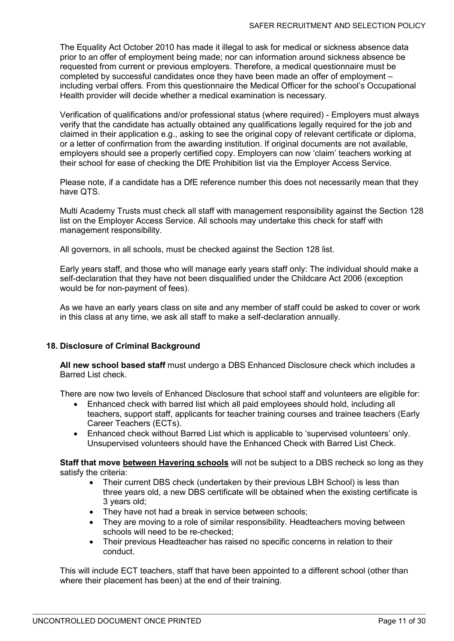The Equality Act October 2010 has made it illegal to ask for medical or sickness absence data prior to an offer of employment being made; nor can information around sickness absence be requested from current or previous employers. Therefore, a medical questionnaire must be completed by successful candidates once they have been made an offer of employment – including verbal offers. From this questionnaire the Medical Officer for the school's Occupational Health provider will decide whether a medical examination is necessary.

Verification of qualifications and/or professional status (where required) - Employers must always verify that the candidate has actually obtained any qualifications legally required for the job and claimed in their application e.g., asking to see the original copy of relevant certificate or diploma, or a letter of confirmation from the awarding institution. If original documents are not available, employers should see a properly certified copy. Employers can now 'claim' teachers working at their school for ease of checking the DfE Prohibition list via the Employer Access Service.

Please note, if a candidate has a DfE reference number this does not necessarily mean that they have QTS.

Multi Academy Trusts must check all staff with management responsibility against the Section 128 list on the Employer Access Service. All schools may undertake this check for staff with management responsibility.

All governors, in all schools, must be checked against the Section 128 list.

Early years staff, and those who will manage early years staff only: The individual should make a self-declaration that they have not been disqualified under the Childcare Act 2006 (exception would be for non-payment of fees).

As we have an early years class on site and any member of staff could be asked to cover or work in this class at any time, we ask all staff to make a self-declaration annually.

### **18. Disclosure of Criminal Background**

**All new school based staff** must undergo a DBS Enhanced Disclosure check which includes a Barred List check.

There are now two levels of Enhanced Disclosure that school staff and volunteers are eligible for:

- Enhanced check with barred list which all paid employees should hold, including all teachers, support staff, applicants for teacher training courses and trainee teachers (Early Career Teachers (ECTs).
- Enhanced check without Barred List which is applicable to 'supervised volunteers' only. Unsupervised volunteers should have the Enhanced Check with Barred List Check.

**Staff that move between Havering schools** will not be subject to a DBS recheck so long as they satisfy the criteria:

- Their current DBS check (undertaken by their previous LBH School) is less than three years old, a new DBS certificate will be obtained when the existing certificate is 3 years old;
- They have not had a break in service between schools;
- They are moving to a role of similar responsibility. Headteachers moving between schools will need to be re-checked;
- Their previous Headteacher has raised no specific concerns in relation to their conduct.

This will include ECT teachers, staff that have been appointed to a different school (other than where their placement has been) at the end of their training.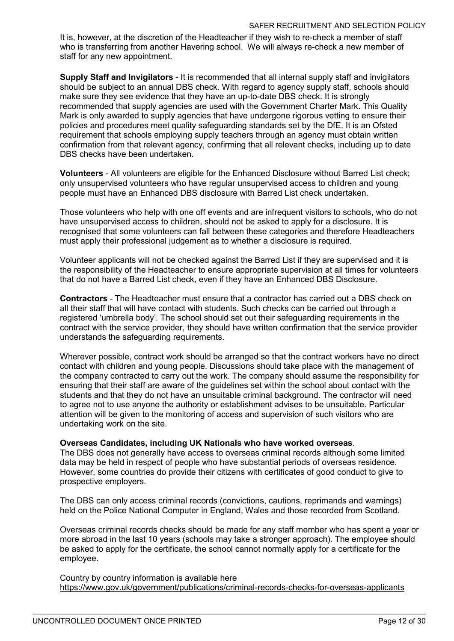#### SAFER RECRUITMENT AND SELECTION POLICY

It is, however, at the discretion of the Headteacher if they wish to re-check a member of staff who is transferring from another Havering school. We will always re-check a new member of staff for any new appointment.

**Supply Staff and Invigilators** - It is recommended that all internal supply staff and invigilators should be subject to an annual DBS check. With regard to agency supply staff, schools should make sure they see evidence that they have an up-to-date DBS check. It is strongly recommended that supply agencies are used with the Government Charter Mark. This Quality Mark is only awarded to supply agencies that have undergone rigorous vetting to ensure their policies and procedures meet quality safeguarding standards set by the DfE. It is an Ofsted requirement that schools employing supply teachers through an agency must obtain written confirmation from that relevant agency, confirming that all relevant checks, including up to date DBS checks have been undertaken.

**Volunteers** - All volunteers are eligible for the Enhanced Disclosure without Barred List check; only unsupervised volunteers who have regular unsupervised access to children and young people must have an Enhanced DBS disclosure with Barred List check undertaken.

Those volunteers who help with one off events and are infrequent visitors to schools, who do not have unsupervised access to children, should not be asked to apply for a disclosure. It is recognised that some volunteers can fall between these categories and therefore Headteachers must apply their professional judgement as to whether a disclosure is required.

Volunteer applicants will not be checked against the Barred List if they are supervised and it is the responsibility of the Headteacher to ensure appropriate supervision at all times for volunteers that do not have a Barred List check, even if they have an Enhanced DBS Disclosure.

**Contractors** - The Headteacher must ensure that a contractor has carried out a DBS check on all their staff that will have contact with students. Such checks can be carried out through a registered 'umbrella body'. The school should set out their safeguarding requirements in the contract with the service provider, they should have written confirmation that the service provider understands the safeguarding requirements.

Wherever possible, contract work should be arranged so that the contract workers have no direct contact with children and young people. Discussions should take place with the management of the company contracted to carry out the work. The company should assume the responsibility for ensuring that their staff are aware of the guidelines set within the school about contact with the students and that they do not have an unsuitable criminal background. The contractor will need to agree not to use anyone the authority or establishment advises to be unsuitable. Particular attention will be given to the monitoring of access and supervision of such visitors who are undertaking work on the site.

### **Overseas Candidates, including UK Nationals who have worked overseas**.

The DBS does not generally have access to overseas criminal records although some limited data may be held in respect of people who have substantial periods of overseas residence. However, some countries do provide their citizens with certificates of good conduct to give to prospective employers.

The DBS can only access criminal records (convictions, cautions, reprimands and warnings) held on the Police National Computer in England, Wales and those recorded from Scotland.

Overseas criminal records checks should be made for any staff member who has spent a year or more abroad in the last 10 years (schools may take a stronger approach). The employee should be asked to apply for the certificate, the school cannot normally apply for a certificate for the employee.

Country by country information is available here <https://www.gov.uk/government/publications/criminal-records-checks-for-overseas-applicants>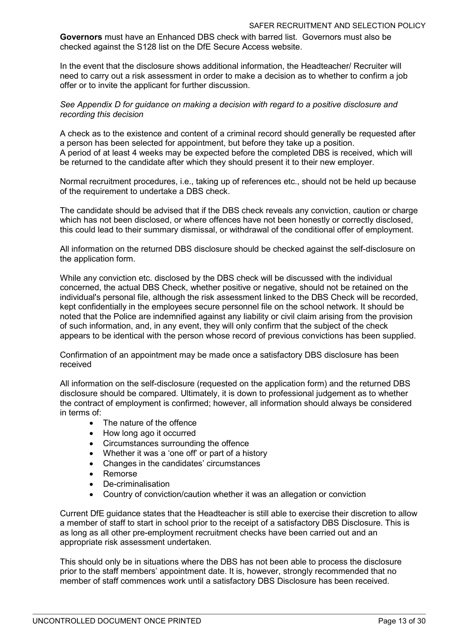#### SAFER RECRUITMENT AND SELECTION POLICY

**Governors** must have an Enhanced DBS check with barred list. Governors must also be checked against the S128 list on the DfE Secure Access website.

In the event that the disclosure shows additional information, the Headteacher/ Recruiter will need to carry out a risk assessment in order to make a decision as to whether to confirm a job offer or to invite the applicant for further discussion.

#### *See Appendix D for guidance on making a decision with regard to a positive disclosure and recording this decision*

A check as to the existence and content of a criminal record should generally be requested after a person has been selected for appointment, but before they take up a position. A period of at least 4 weeks may be expected before the completed DBS is received, which will be returned to the candidate after which they should present it to their new employer.

Normal recruitment procedures, i.e., taking up of references etc., should not be held up because of the requirement to undertake a DBS check.

The candidate should be advised that if the DBS check reveals any conviction, caution or charge which has not been disclosed, or where offences have not been honestly or correctly disclosed, this could lead to their summary dismissal, or withdrawal of the conditional offer of employment.

All information on the returned DBS disclosure should be checked against the self-disclosure on the application form.

While any conviction etc. disclosed by the DBS check will be discussed with the individual concerned, the actual DBS Check, whether positive or negative, should not be retained on the individual's personal file, although the risk assessment linked to the DBS Check will be recorded, kept confidentially in the employees secure personnel file on the school network. It should be noted that the Police are indemnified against any liability or civil claim arising from the provision of such information, and, in any event, they will only confirm that the subject of the check appears to be identical with the person whose record of previous convictions has been supplied.

Confirmation of an appointment may be made once a satisfactory DBS disclosure has been received

All information on the self-disclosure (requested on the application form) and the returned DBS disclosure should be compared. Ultimately, it is down to professional judgement as to whether the contract of employment is confirmed; however, all information should always be considered in terms of:

- The nature of the offence
- How long ago it occurred
- Circumstances surrounding the offence
- Whether it was a 'one off' or part of a history
- Changes in the candidates' circumstances
- Remorse
- De-criminalisation
- Country of conviction/caution whether it was an allegation or conviction

Current DfE guidance states that the Headteacher is still able to exercise their discretion to allow a member of staff to start in school prior to the receipt of a satisfactory DBS Disclosure. This is as long as all other pre-employment recruitment checks have been carried out and an appropriate risk assessment undertaken.

This should only be in situations where the DBS has not been able to process the disclosure prior to the staff members' appointment date. It is, however, strongly recommended that no member of staff commences work until a satisfactory DBS Disclosure has been received.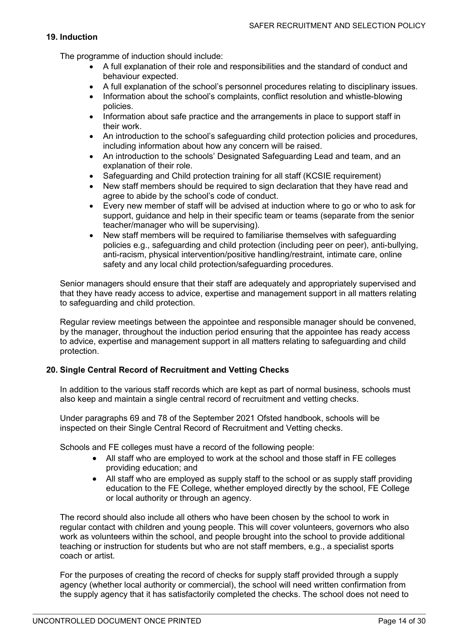## **19. Induction**

The programme of induction should include:

- A full explanation of their role and responsibilities and the standard of conduct and behaviour expected.
- A full explanation of the school's personnel procedures relating to disciplinary issues.
- Information about the school's complaints, conflict resolution and whistle-blowing policies.
- Information about safe practice and the arrangements in place to support staff in their work.
- An introduction to the school's safeguarding child protection policies and procedures, including information about how any concern will be raised.
- An introduction to the schools' Designated Safeguarding Lead and team, and an explanation of their role.
- Safeguarding and Child protection training for all staff (KCSIE requirement)
- New staff members should be required to sign declaration that they have read and agree to abide by the school's code of conduct.
- Every new member of staff will be advised at induction where to go or who to ask for support, guidance and help in their specific team or teams (separate from the senior teacher/manager who will be supervising).
- New staff members will be required to familiarise themselves with safeguarding policies e.g., safeguarding and child protection (including peer on peer), anti-bullying, anti-racism, physical intervention/positive handling/restraint, intimate care, online safety and any local child protection/safeguarding procedures.

Senior managers should ensure that their staff are adequately and appropriately supervised and that they have ready access to advice, expertise and management support in all matters relating to safeguarding and child protection.

Regular review meetings between the appointee and responsible manager should be convened, by the manager, throughout the induction period ensuring that the appointee has ready access to advice, expertise and management support in all matters relating to safeguarding and child protection.

### **20. Single Central Record of Recruitment and Vetting Checks**

In addition to the various staff records which are kept as part of normal business, schools must also keep and maintain a single central record of recruitment and vetting checks.

Under paragraphs 69 and 78 of the September 2021 Ofsted handbook, schools will be inspected on their Single Central Record of Recruitment and Vetting checks.

Schools and FE colleges must have a record of the following people:

- All staff who are employed to work at the school and those staff in FE colleges providing education; and
- All staff who are employed as supply staff to the school or as supply staff providing education to the FE College, whether employed directly by the school, FE College or local authority or through an agency.

The record should also include all others who have been chosen by the school to work in regular contact with children and young people. This will cover volunteers, governors who also work as volunteers within the school, and people brought into the school to provide additional teaching or instruction for students but who are not staff members, e.g., a specialist sports coach or artist.

For the purposes of creating the record of checks for supply staff provided through a supply agency (whether local authority or commercial), the school will need written confirmation from the supply agency that it has satisfactorily completed the checks. The school does not need to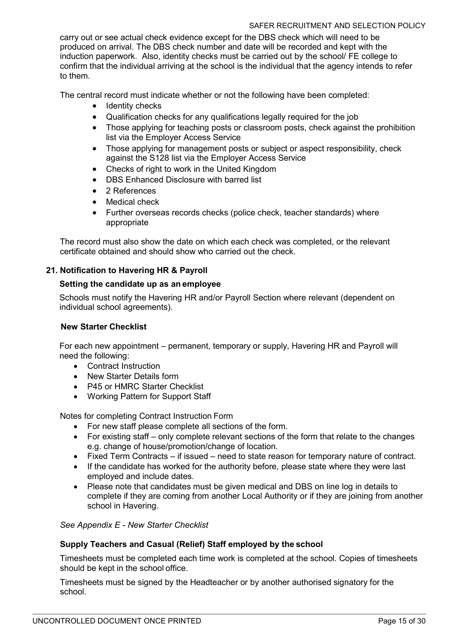#### SAFER RECRUITMENT AND SELECTION POLICY

carry out or see actual check evidence except for the DBS check which will need to be produced on arrival. The DBS check number and date will be recorded and kept with the induction paperwork. Also, identity checks must be carried out by the school/ FE college to confirm that the individual arriving at the school is the individual that the agency intends to refer to them.

The central record must indicate whether or not the following have been completed:

- Identity checks
- Qualification checks for any qualifications legally required for the job
- Those applying for teaching posts or classroom posts, check against the prohibition list via the Employer Access Service
- Those applying for management posts or subject or aspect responsibility, check against the S128 list via the Employer Access Service
- Checks of right to work in the United Kingdom
- DBS Enhanced Disclosure with barred list
- 2 References
- Medical check
- Further overseas records checks (police check, teacher standards) where appropriate

The record must also show the date on which each check was completed, or the relevant certificate obtained and should show who carried out the check.

## **21. Notification to Havering HR & Payroll**

### **Setting the candidate up as an employee**

Schools must notify the Havering HR and/or Payroll Section where relevant (dependent on individual school agreements).

### **New Starter Checklist**

For each new appointment – permanent, temporary or supply, Havering HR and Payroll will need the following:

- Contract Instruction
- New Starter Details form
- P45 or HMRC Starter Checklist
- Working Pattern for Support Staff

Notes for completing Contract Instruction Form

- For new staff please complete all sections of the form.
- For existing staff only complete relevant sections of the form that relate to the changes e.g. change of house/promotion/change of location.
- Fixed Term Contracts if issued need to state reason for temporary nature of contract.
- If the candidate has worked for the authority before, please state where they were last employed and include dates.
- Please note that candidates must be given medical and DBS on line log in details to complete if they are coming from another Local Authority or if they are joining from another school in Havering.

### *See Appendix E - New Starter Checklist*

### **Supply Teachers and Casual (Relief) Staff employed by the school**

Timesheets must be completed each time work is completed at the school. Copies of timesheets should be kept in the school office.

Timesheets must be signed by the Headteacher or by another authorised signatory for the school.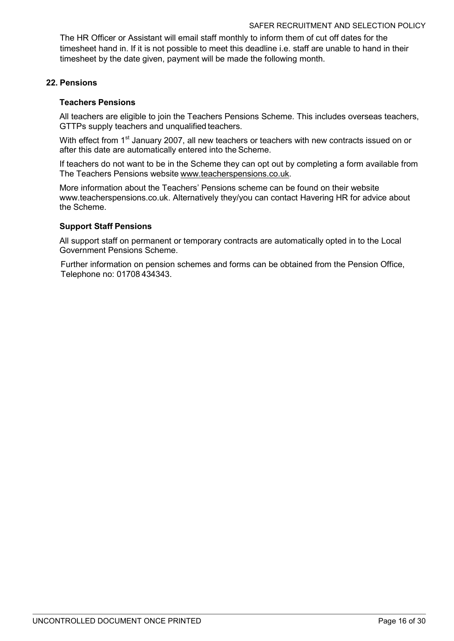The HR Officer or Assistant will email staff monthly to inform them of cut off dates for the timesheet hand in. If it is not possible to meet this deadline i.e. staff are unable to hand in their timesheet by the date given, payment will be made the following month.

## **22. Pensions**

### **Teachers Pensions**

All teachers are eligible to join the Teachers Pensions Scheme. This includes overseas teachers, GTTPs supply teachers and unqualified teachers.

With effect from 1<sup>st</sup> January 2007, all new teachers or teachers with new contracts issued on or after this date are automatically entered into theScheme.

If teachers do not want to be in the Scheme they can opt out by completing a form available from The Teachers Pensions website [www.teacherspensions.co.uk.](http://www.teacherspensions.co.uk/)

More information about the Teachers' Pensions scheme can be found on their website [www.teacherspensions.co.uk.](http://www.teacherspensions.co.uk/) Alternatively they/you can contact Havering HR for advice about the Scheme.

### **Support Staff Pensions**

All support staff on permanent or temporary contracts are automatically opted in to the Local Government Pensions Scheme.

Further information on pension schemes and forms can be obtained from the Pension Office, Telephone no: 01708 434343.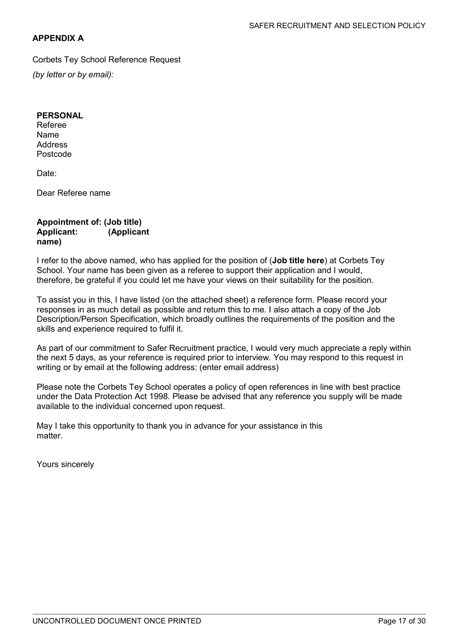## **APPENDIX A**

## Corbets Tey School Reference Request

*(by letter or by email):*

## **PERSONAL**

Referee Name Address Postcode

Date:

Dear Referee name

#### **Appointment of: (Job title) Applicant: (Applicant name)**

I refer to the above named, who has applied for the position of (**Job title here**) at Corbets Tey School. Your name has been given as a referee to support their application and I would, therefore, be grateful if you could let me have your views on their suitability for the position.

To assist you in this, I have listed (on the attached sheet) a reference form. Please record your responses in as much detail as possible and return this to me. I also attach a copy of the Job Description/Person Specification, which broadly outlines the requirements of the position and the skills and experience required to fulfil it.

As part of our commitment to Safer Recruitment practice, I would very much appreciate a reply within the next 5 days, as your reference is required prior to interview. You may respond to this request in writing or by email at the following address: (enter email address)

Please note the Corbets Tey School operates a policy of open references in line with best practice under the Data Protection Act 1998. Please be advised that any reference you supply will be made available to the individual concerned upon request.

May I take this opportunity to thank you in advance for your assistance in this matter.

Yours sincerely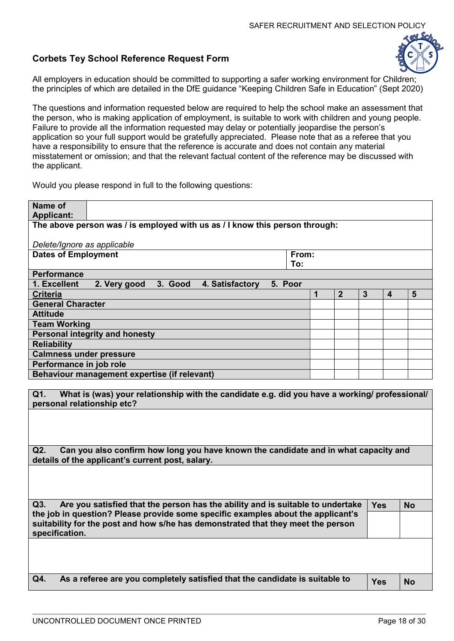## **Corbets Tey School Reference Request Form**



All employers in education should be committed to supporting a safer working environment for Children; the principles of which are detailed in the DfE guidance "Keeping Children Safe in Education" (Sept 2020)

The questions and information requested below are required to help the school make an assessment that the person, who is making application of employment, is suitable to work with children and young people. Failure to provide all the information requested may delay or potentially jeopardise the person's application so your full support would be gratefully appreciated. Please note that as a referee that you have a responsibility to ensure that the reference is accurate and does not contain any material misstatement or omission; and that the relevant factual content of the reference may be discussed with the applicant.

Would you please respond in full to the following questions:

| Name of                                                                                                                            |         |                                  |                         |           |
|------------------------------------------------------------------------------------------------------------------------------------|---------|----------------------------------|-------------------------|-----------|
| <b>Applicant:</b>                                                                                                                  |         |                                  |                         |           |
| The above person was / is employed with us as / I know this person through:                                                        |         |                                  |                         |           |
|                                                                                                                                    |         |                                  |                         |           |
| Delete/Ignore as applicable                                                                                                        |         |                                  |                         |           |
| <b>Dates of Employment</b>                                                                                                         | From:   |                                  |                         |           |
|                                                                                                                                    | To:     |                                  |                         |           |
| <b>Performance</b>                                                                                                                 |         |                                  |                         |           |
| 1. Excellent<br>2. Very good<br>3. Good<br>4. Satisfactory                                                                         | 5. Poor |                                  |                         |           |
| <b>Criteria</b>                                                                                                                    | 1       | $\overline{2}$<br>$\overline{3}$ | $\overline{\mathbf{4}}$ | 5         |
| <b>General Character</b>                                                                                                           |         |                                  |                         |           |
| <b>Attitude</b>                                                                                                                    |         |                                  |                         |           |
| <b>Team Working</b>                                                                                                                |         |                                  |                         |           |
| <b>Personal integrity and honesty</b>                                                                                              |         |                                  |                         |           |
| <b>Reliability</b>                                                                                                                 |         |                                  |                         |           |
| <b>Calmness under pressure</b>                                                                                                     |         |                                  |                         |           |
| Performance in job role                                                                                                            |         |                                  |                         |           |
| Behaviour management expertise (if relevant)                                                                                       |         |                                  |                         |           |
|                                                                                                                                    |         |                                  |                         |           |
| What is (was) your relationship with the candidate e.g. did you have a working/ professional/<br>Q1.<br>personal relationship etc? |         |                                  |                         |           |
|                                                                                                                                    |         |                                  |                         |           |
|                                                                                                                                    |         |                                  |                         |           |
|                                                                                                                                    |         |                                  |                         |           |
|                                                                                                                                    |         |                                  |                         |           |
| Can you also confirm how long you have known the candidate and in what capacity and<br>Q2.                                         |         |                                  |                         |           |
| details of the applicant's current post, salary.                                                                                   |         |                                  |                         |           |
|                                                                                                                                    |         |                                  |                         |           |
|                                                                                                                                    |         |                                  |                         |           |
|                                                                                                                                    |         |                                  |                         |           |
| Q3.<br>Are you satisfied that the person has the ability and is suitable to undertake                                              |         |                                  | <b>Yes</b>              | <b>No</b> |
| the job in question? Please provide some specific examples about the applicant's                                                   |         |                                  |                         |           |
| suitability for the post and how s/he has demonstrated that they meet the person                                                   |         |                                  |                         |           |
| specification.                                                                                                                     |         |                                  |                         |           |
|                                                                                                                                    |         |                                  |                         |           |
|                                                                                                                                    |         |                                  |                         |           |
|                                                                                                                                    |         |                                  |                         |           |
|                                                                                                                                    |         |                                  |                         |           |
| Q4.<br>As a referee are you completely satisfied that the candidate is suitable to                                                 |         |                                  | <b>Yes</b>              | <b>No</b> |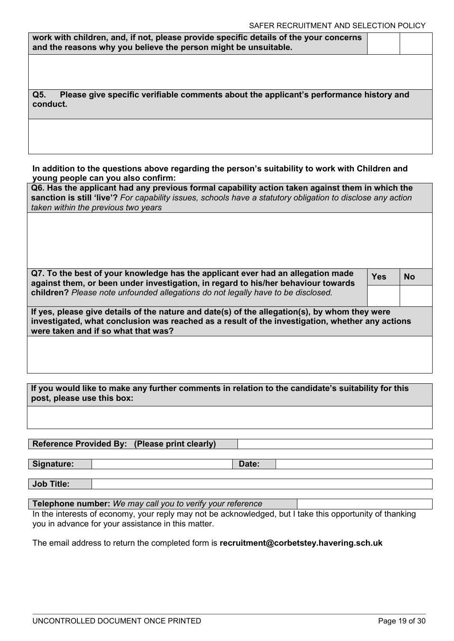| SAFER RECRUITMENT AND SELECTION POLICY                                                                                                                                                                                                                |  |           |
|-------------------------------------------------------------------------------------------------------------------------------------------------------------------------------------------------------------------------------------------------------|--|-----------|
| work with children, and, if not, please provide specific details of the your concerns<br>and the reasons why you believe the person might be unsuitable.                                                                                              |  |           |
|                                                                                                                                                                                                                                                       |  |           |
| Please give specific verifiable comments about the applicant's performance history and<br>Q5.<br>conduct.                                                                                                                                             |  |           |
|                                                                                                                                                                                                                                                       |  |           |
| In addition to the questions above regarding the person's suitability to work with Children and<br>young people can you also confirm:                                                                                                                 |  |           |
| Q6. Has the applicant had any previous formal capability action taken against them in which the<br>sanction is still 'live'? For capability issues, schools have a statutory obligation to disclose any action<br>taken within the previous two years |  |           |
|                                                                                                                                                                                                                                                       |  |           |
|                                                                                                                                                                                                                                                       |  |           |
| Q7. To the best of your knowledge has the applicant ever had an allegation made<br><b>Yes</b><br>against them, or been under investigation, in regard to his/her behaviour towards                                                                    |  | <b>No</b> |
| children? Please note unfounded allegations do not legally have to be disclosed.                                                                                                                                                                      |  |           |
| If yes, please give details of the nature and date(s) of the allegation(s), by whom they were<br>investigated what conclusion was reached as a result of the investigation whother any options                                                        |  |           |

**investigated, what conclusion was reached as a result of the investigation, whether any actions were taken and if so what that was?**

**If you would like to make any further comments in relation to the candidate's suitability for this post, please use this box:**

**Reference Provided By: (Please print clearly)**

**Signature: Date: Date:** 

**Job Title:**

**Telephone number:** *We may call you to verify your reference*

In the interests of economy, your reply may not be acknowledged, but I take this opportunity of thanking you in advance for your assistance in this matter.

The email address to return the completed form is **recruitment@corbetstey.havering.sch.uk**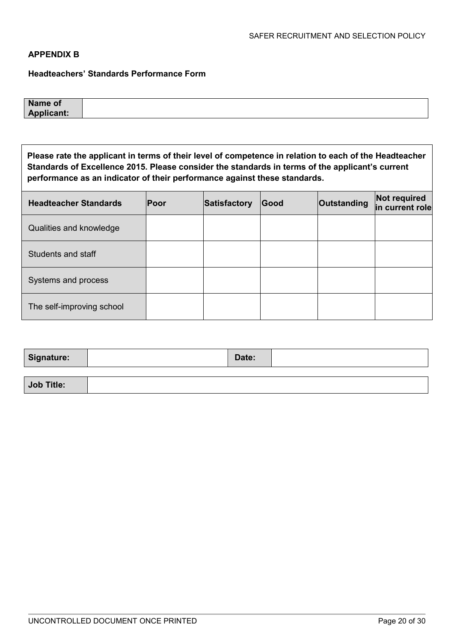## **APPENDIX B**

## **Headteachers' Standards Performance Form**

| <b>Name of</b>    |  |
|-------------------|--|
| <b>Applicant:</b> |  |

**Please rate the applicant in terms of their level of competence in relation to each of the Headteacher Standards of Excellence 2015. Please consider the standards in terms of the applicant's current performance as an indicator of their performance against these standards.**

| <b>Headteacher Standards</b> | Poor | Satisfactory | Good | <b>Outstanding</b> | Not required<br>in current role |
|------------------------------|------|--------------|------|--------------------|---------------------------------|
| Qualities and knowledge      |      |              |      |                    |                                 |
| Students and staff           |      |              |      |                    |                                 |
| Systems and process          |      |              |      |                    |                                 |
| The self-improving school    |      |              |      |                    |                                 |

| Signature:        | Date: |  |
|-------------------|-------|--|
|                   |       |  |
| <b>Job Title:</b> |       |  |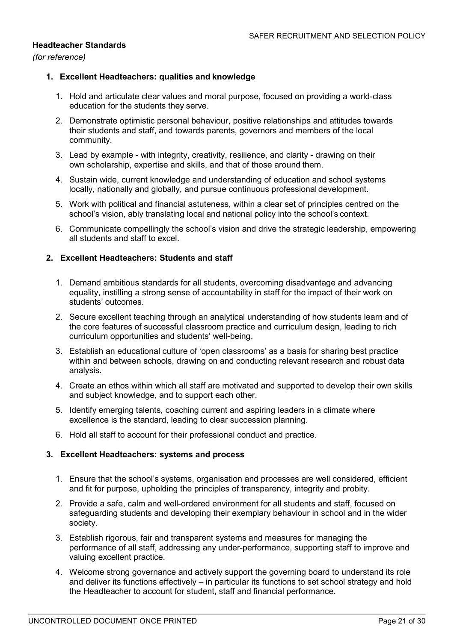## **Headteacher Standards**

#### *(for reference)*

## **1. Excellent Headteachers: qualities and knowledge**

- 1. Hold and articulate clear values and moral purpose, focused on providing a world-class education for the students they serve.
- 2. Demonstrate optimistic personal behaviour, positive relationships and attitudes towards their students and staff, and towards parents, governors and members of the local community.
- 3. Lead by example with integrity, creativity, resilience, and clarity drawing on their own scholarship, expertise and skills, and that of those around them.
- 4. Sustain wide, current knowledge and understanding of education and school systems locally, nationally and globally, and pursue continuous professional development.
- 5. Work with political and financial astuteness, within a clear set of principles centred on the school's vision, ably translating local and national policy into the school's context.
- 6. Communicate compellingly the school's vision and drive the strategic leadership, empowering all students and staff to excel.

### **2. Excellent Headteachers: Students and staff**

- 1. Demand ambitious standards for all students, overcoming disadvantage and advancing equality, instilling a strong sense of accountability in staff for the impact of their work on students' outcomes.
- 2. Secure excellent teaching through an analytical understanding of how students learn and of the core features of successful classroom practice and curriculum design, leading to rich curriculum opportunities and students' well-being.
- 3. Establish an educational culture of 'open classrooms' as a basis for sharing best practice within and between schools, drawing on and conducting relevant research and robust data analysis.
- 4. Create an ethos within which all staff are motivated and supported to develop their own skills and subject knowledge, and to support each other.
- 5. Identify emerging talents, coaching current and aspiring leaders in a climate where excellence is the standard, leading to clear succession planning.
- 6. Hold all staff to account for their professional conduct and practice.

### **3. Excellent Headteachers: systems and process**

- 1. Ensure that the school's systems, organisation and processes are well considered, efficient and fit for purpose, upholding the principles of transparency, integrity and probity.
- 2. Provide a safe, calm and well-ordered environment for all students and staff, focused on safeguarding students and developing their exemplary behaviour in school and in the wider society.
- 3. Establish rigorous, fair and transparent systems and measures for managing the performance of all staff, addressing any under-performance, supporting staff to improve and valuing excellent practice.
- 4. Welcome strong governance and actively support the governing board to understand its role and deliver its functions effectively – in particular its functions to set school strategy and hold the Headteacher to account for student, staff and financial performance.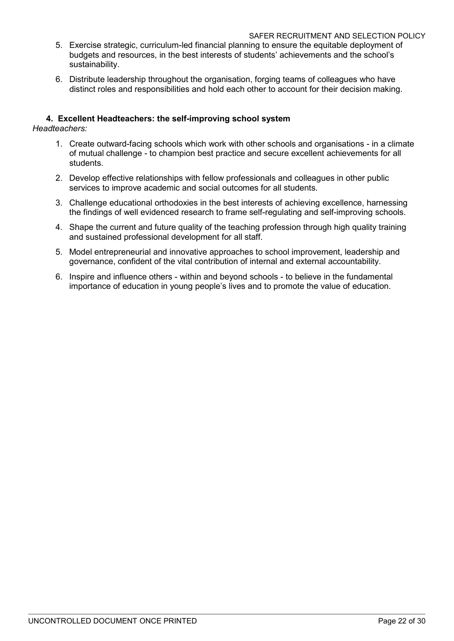#### SAFER RECRUITMENT AND SELECTION POLICY

- 5. Exercise strategic, curriculum-led financial planning to ensure the equitable deployment of budgets and resources, in the best interests of students' achievements and the school's sustainability.
- 6. Distribute leadership throughout the organisation, forging teams of colleagues who have distinct roles and responsibilities and hold each other to account for their decision making.

## **4. Excellent Headteachers: the self-improving school system**

*Headteachers:*

- 1. Create outward-facing schools which work with other schools and organisations in a climate of mutual challenge - to champion best practice and secure excellent achievements for all students.
- 2. Develop effective relationships with fellow professionals and colleagues in other public services to improve academic and social outcomes for all students.
- 3. Challenge educational orthodoxies in the best interests of achieving excellence, harnessing the findings of well evidenced research to frame self-regulating and self-improving schools.
- 4. Shape the current and future quality of the teaching profession through high quality training and sustained professional development for all staff.
- 5. Model entrepreneurial and innovative approaches to school improvement, leadership and governance, confident of the vital contribution of internal and external accountability.
- 6. Inspire and influence others within and beyond schools to believe in the fundamental importance of education in young people's lives and to promote the value of education.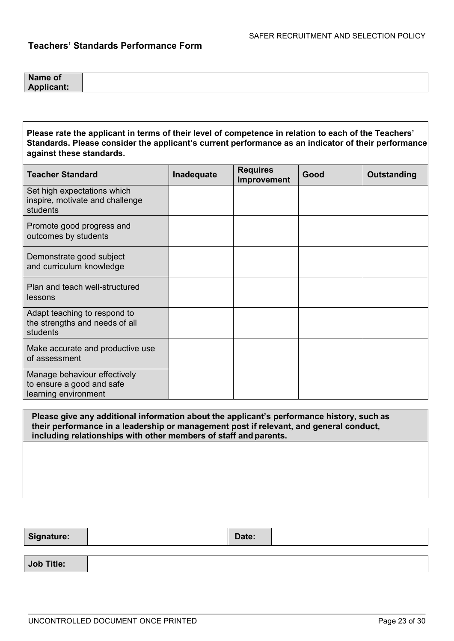| Name of           |  |
|-------------------|--|
| <b>Applicant:</b> |  |

### **Please rate the applicant in terms of their level of competence in relation to each of the Teachers' Standards. Please consider the applicant's current performance as an indicator of their performance against these standards.**

| <b>Teacher Standard</b>                                                           | Inadequate | <b>Requires</b><br><b>Improvement</b> | Good | <b>Outstanding</b> |
|-----------------------------------------------------------------------------------|------------|---------------------------------------|------|--------------------|
| Set high expectations which<br>inspire, motivate and challenge<br>students        |            |                                       |      |                    |
| Promote good progress and<br>outcomes by students                                 |            |                                       |      |                    |
| Demonstrate good subject<br>and curriculum knowledge                              |            |                                       |      |                    |
| Plan and teach well-structured<br>lessons                                         |            |                                       |      |                    |
| Adapt teaching to respond to<br>the strengths and needs of all<br>students        |            |                                       |      |                    |
| Make accurate and productive use<br>of assessment                                 |            |                                       |      |                    |
| Manage behaviour effectively<br>to ensure a good and safe<br>learning environment |            |                                       |      |                    |

**Please give any additional information about the applicant's performance history, such as their performance in a leadership or management post if relevant, and general conduct, including relationships with other members of staff and parents.**

| Signature: | Date: |  |
|------------|-------|--|
|            |       |  |
| Job Title: |       |  |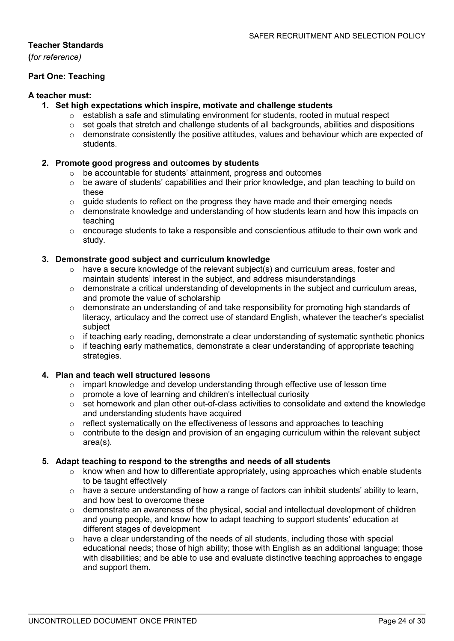## **Teacher Standards**

**(***for reference)*

## **Part One: Teaching**

### **A teacher must:**

- **1. Set high expectations which inspire, motivate and challenge students** 
	- $\circ$  establish a safe and stimulating environment for students, rooted in mutual respect
	- $\circ$  set goals that stretch and challenge students of all backgrounds, abilities and dispositions  $\circ$  demonstrate consistently the positive attitudes, values and behaviour which are expected
	- demonstrate consistently the positive attitudes, values and behaviour which are expected of students.

## **2. Promote good progress and outcomes by students**

- $\circ$  be accountable for students' attainment, progress and outcomes  $\circ$  be aware of students' capabilities and their prior knowledge. and
- be aware of students' capabilities and their prior knowledge, and plan teaching to build on these
- o guide students to reflect on the progress they have made and their emerging needs
- o demonstrate knowledge and understanding of how students learn and how this impacts on teaching
- $\circ$  encourage students to take a responsible and conscientious attitude to their own work and study.

## **3. Demonstrate good subject and curriculum knowledge**

- $\circ$  have a secure knowledge of the relevant subject(s) and curriculum areas, foster and maintain students' interest in the subject, and address misunderstandings
- $\circ$  demonstrate a critical understanding of developments in the subject and curriculum areas, and promote the value of scholarship
- $\circ$  demonstrate an understanding of and take responsibility for promoting high standards of literacy, articulacy and the correct use of standard English, whatever the teacher's specialist subject
- $\circ$  if teaching early reading, demonstrate a clear understanding of systematic synthetic phonics<br>  $\circ$  if teaching early mathematics, demonstrate a clear understanding of appropriate teaching
- if teaching early mathematics, demonstrate a clear understanding of appropriate teaching strategies.

### **4. Plan and teach well structured lessons**

- $\circ$  impart knowledge and develop understanding through effective use of lesson time
- $\circ$  promote a love of learning and children's intellectual curiosity
- o set homework and plan other out-of-class activities to consolidate and extend the knowledge and understanding students have acquired
- $\circ$  reflect systematically on the effectiveness of lessons and approaches to teaching  $\circ$  contribute to the design and provision of an engaging curriculum within the releva
- contribute to the design and provision of an engaging curriculum within the relevant subject area(s).

### **5. Adapt teaching to respond to the strengths and needs of all students**

- $\circ$  know when and how to differentiate appropriately, using approaches which enable students to be taught effectively
- o have a secure understanding of how a range of factors can inhibit students' ability to learn, and how best to overcome these
- o demonstrate an awareness of the physical, social and intellectual development of children and young people, and know how to adapt teaching to support students' education at different stages of development
- $\circ$  have a clear understanding of the needs of all students, including those with special educational needs; those of high ability; those with English as an additional language; those with disabilities; and be able to use and evaluate distinctive teaching approaches to engage and support them.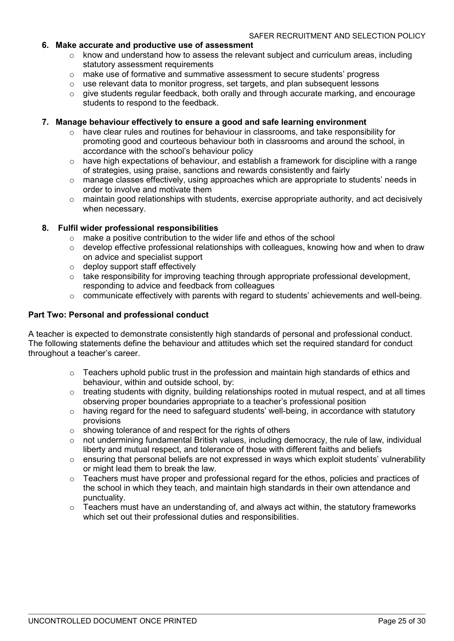#### **6. Make accurate and productive use of assessment**

- o know and understand how to assess the relevant subject and curriculum areas, including statutory assessment requirements
- o make use of formative and summative assessment to secure students' progress
- $\circ$  use relevant data to monitor progress, set targets, and plan subsequent lessons<br> $\circ$  give students regular feedback, both orally and through accurate marking, and e
- give students regular feedback, both orally and through accurate marking, and encourage students to respond to the feedback.

#### **7. Manage behaviour effectively to ensure a good and safe learning environment**

- o have clear rules and routines for behaviour in classrooms, and take responsibility for promoting good and courteous behaviour both in classrooms and around the school, in accordance with the school's behaviour policy
- $\circ$  have high expectations of behaviour, and establish a framework for discipline with a range of strategies, using praise, sanctions and rewards consistently and fairly
- o manage classes effectively, using approaches which are appropriate to students' needs in order to involve and motivate them
- $\circ$  maintain good relationships with students, exercise appropriate authority, and act decisively when necessary.

#### **8. Fulfil wider professional responsibilities**

- $\circ$  make a positive contribution to the wider life and ethos of the school  $\circ$  develop effective professional relationships with colleagues. knowing
- develop effective professional relationships with colleagues, knowing how and when to draw on advice and specialist support
- o deploy support staff effectively
- o take responsibility for improving teaching through appropriate professional development, responding to advice and feedback from colleagues
- o communicate effectively with parents with regard to students' achievements and well-being.

#### **Part Two: Personal and professional conduct**

A teacher is expected to demonstrate consistently high standards of personal and professional conduct. The following statements define the behaviour and attitudes which set the required standard for conduct throughout a teacher's career.

- o Teachers uphold public trust in the profession and maintain high standards of ethics and behaviour, within and outside school, by:
- o treating students with dignity, building relationships rooted in mutual respect, and at all times observing proper boundaries appropriate to a teacher's professional position
- o having regard for the need to safeguard students' well-being, in accordance with statutory provisions
- $\circ$  showing tolerance of and respect for the rights of others  $\circ$  not undermining fundamental British values including de
- not undermining fundamental British values, including democracy, the rule of law, individual liberty and mutual respect, and tolerance of those with different faiths and beliefs
- $\circ$  ensuring that personal beliefs are not expressed in ways which exploit students' vulnerability or might lead them to break the law.
- o Teachers must have proper and professional regard for the ethos, policies and practices of the school in which they teach, and maintain high standards in their own attendance and punctuality.
- $\circ$  Teachers must have an understanding of, and always act within, the statutory frameworks which set out their professional duties and responsibilities.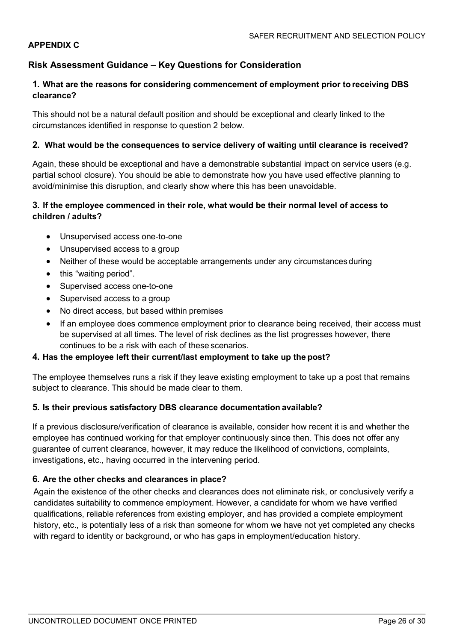## **APPENDIX C**

## **Risk Assessment Guidance – Key Questions for Consideration**

## **1. What are the reasons for considering commencement of employment prior toreceiving DBS clearance?**

This should not be a natural default position and should be exceptional and clearly linked to the circumstances identified in response to question 2 below.

### **2. What would be the consequences to service delivery of waiting until clearance is received?**

Again, these should be exceptional and have a demonstrable substantial impact on service users (e.g. partial school closure). You should be able to demonstrate how you have used effective planning to avoid/minimise this disruption, and clearly show where this has been unavoidable.

## **3. If the employee commenced in their role, what would be their normal level of access to children / adults?**

- Unsupervised access one-to-one
- Unsupervised access to a group
- Neither of these would be acceptable arrangements under any circumstances during
- this "waiting period".
- Supervised access one-to-one
- Supervised access to a group
- No direct access, but based within premises
- If an employee does commence employment prior to clearance being received, their access must be supervised at all times. The level of risk declines as the list progresses however, there continues to be a risk with each of these scenarios.

### **4. Has the employee left their current/last employment to take up the post?**

The employee themselves runs a risk if they leave existing employment to take up a post that remains subject to clearance. This should be made clear to them.

## **5. Is their previous satisfactory DBS clearance documentation available?**

If a previous disclosure/verification of clearance is available, consider how recent it is and whether the employee has continued working for that employer continuously since then. This does not offer any guarantee of current clearance, however, it may reduce the likelihood of convictions, complaints, investigations, etc., having occurred in the intervening period.

## **6. Are the other checks and clearances in place?**

Again the existence of the other checks and clearances does not eliminate risk, or conclusively verify a candidates suitability to commence employment. However, a candidate for whom we have verified qualifications, reliable references from existing employer, and has provided a complete employment history, etc., is potentially less of a risk than someone for whom we have not yet completed any checks with regard to identity or background, or who has gaps in employment/education history.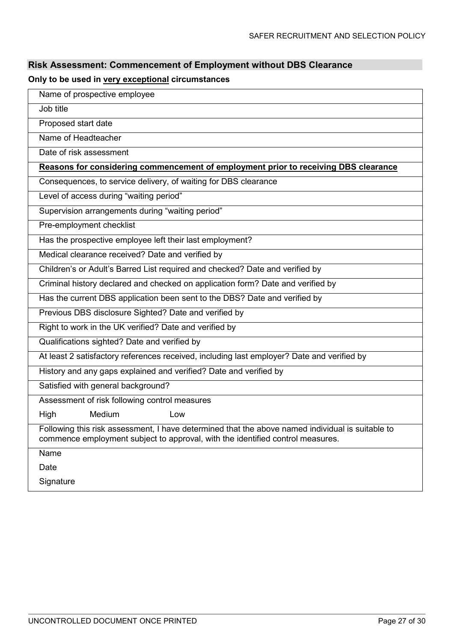## **Risk Assessment: Commencement of Employment without DBS Clearance**

#### **Only to be used in very exceptional circumstances**

Name of prospective employee Job title Proposed start date Name of Headteacher Date of risk assessment **Reasons for considering commencement of employment prior to receiving DBS clearance** Consequences, to service delivery, of waiting for DBS clearance Level of access during "waiting period" Supervision arrangements during "waiting period" Pre-employment checklist Has the prospective employee left their last employment? Medical clearance received? Date and verified by Children's or Adult's Barred List required and checked? Date and verified by Criminal history declared and checked on application form? Date and verified by Has the current DBS application been sent to the DBS? Date and verified by Previous DBS disclosure Sighted? Date and verified by Right to work in the UK verified? Date and verified by Qualifications sighted? Date and verified by At least 2 satisfactory references received, including last employer? Date and verified by History and any gaps explained and verified? Date and verified by Satisfied with general background? Assessment of risk following control measures High Medium Low Following this risk assessment, I have determined that the above named individual is suitable to commence employment subject to approval, with the identified control measures. Name **Date Signature**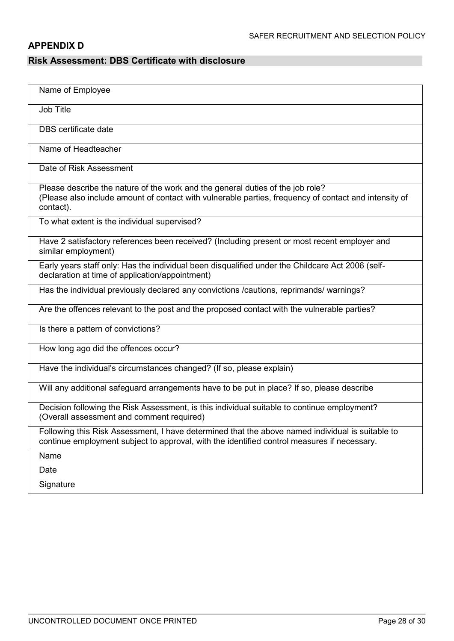## **APPENDIX D**

# **Risk Assessment: DBS Certificate with disclosure**

| Name of Employee                                                                                                                                                                                     |
|------------------------------------------------------------------------------------------------------------------------------------------------------------------------------------------------------|
| <b>Job Title</b>                                                                                                                                                                                     |
| DBS certificate date                                                                                                                                                                                 |
| Name of Headteacher                                                                                                                                                                                  |
| Date of Risk Assessment                                                                                                                                                                              |
| Please describe the nature of the work and the general duties of the job role?<br>(Please also include amount of contact with vulnerable parties, frequency of contact and intensity of<br>contact). |
| To what extent is the individual supervised?                                                                                                                                                         |
| Have 2 satisfactory references been received? (Including present or most recent employer and<br>similar employment)                                                                                  |
| Early years staff only: Has the individual been disqualified under the Childcare Act 2006 (self-<br>declaration at time of application/appointment)                                                  |
| Has the individual previously declared any convictions /cautions, reprimands/ warnings?                                                                                                              |
| Are the offences relevant to the post and the proposed contact with the vulnerable parties?                                                                                                          |
| Is there a pattern of convictions?                                                                                                                                                                   |
| How long ago did the offences occur?                                                                                                                                                                 |
| Have the individual's circumstances changed? (If so, please explain)                                                                                                                                 |
| Will any additional safeguard arrangements have to be put in place? If so, please describe                                                                                                           |
| Decision following the Risk Assessment, is this individual suitable to continue employment?<br>(Overall assessment and comment required)                                                             |
| Following this Risk Assessment, I have determined that the above named individual is suitable to<br>continue employment subject to approval, with the identified control measures if necessary.      |
| Name                                                                                                                                                                                                 |
| Date                                                                                                                                                                                                 |
|                                                                                                                                                                                                      |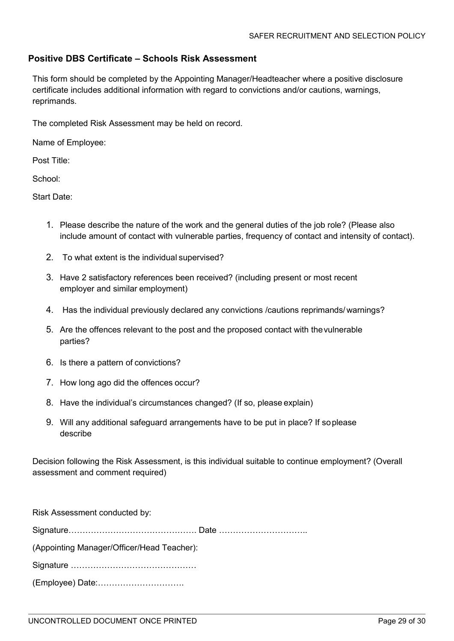## **Positive DBS Certificate – Schools Risk Assessment**

This form should be completed by the Appointing Manager/Headteacher where a positive disclosure certificate includes additional information with regard to convictions and/or cautions, warnings, reprimands.

The completed Risk Assessment may be held on record.

Name of Employee:

Post Title:

School:

Start Date:

- 1. Please describe the nature of the work and the general duties of the job role? (Please also include amount of contact with vulnerable parties, frequency of contact and intensity of contact).
- 2. To what extent is the individual supervised?
- 3. Have 2 satisfactory references been received? (including present or most recent employer and similar employment)
- 4. Has the individual previously declared any convictions /cautions reprimands/warnings?
- 5. Are the offences relevant to the post and the proposed contact with thevulnerable parties?
- 6. Is there a pattern of convictions?
- 7. How long ago did the offences occur?
- 8. Have the individual's circumstances changed? (If so, please explain)
- 9. Will any additional safeguard arrangements have to be put in place? If soplease describe

Decision following the Risk Assessment, is this individual suitable to continue employment? (Overall assessment and comment required)

| Risk Assessment conducted by:              |  |
|--------------------------------------------|--|
|                                            |  |
| (Appointing Manager/Officer/Head Teacher): |  |
|                                            |  |
|                                            |  |